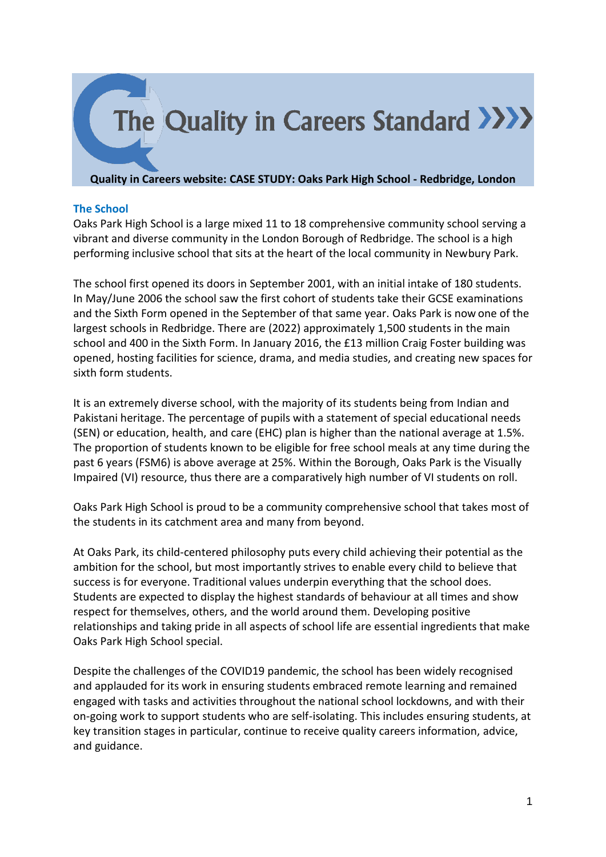

## **Quality in Careers website: CASE STUDY: Oaks Park High School - Redbridge, London**

## **The School**

Oaks Park High School is a large mixed 11 to 18 comprehensive community school serving a vibrant and diverse community in the London Borough of Redbridge. The school is a high performing inclusive school that sits at the heart of the local community in Newbury Park.

The school first opened its doors in September 2001, with an initial intake of 180 students. In May/June 2006 the school saw the first cohort of students take their GCSE examinations and the Sixth Form opened in the September of that same year. Oaks Park is now one of the largest schools in Redbridge. There are (2022) approximately 1,500 students in the main school and 400 in the Sixth Form. In January 2016, the £13 million Craig Foster building was opened, hosting facilities for science, drama, and media studies, and creating new spaces for sixth form students.

It is an extremely diverse school, with the majority of its students being from Indian and Pakistani heritage. The percentage of pupils with a statement of special educational needs (SEN) or education, health, and care (EHC) plan is higher than the national average at 1.5%. The proportion of students known to be eligible for free school meals at any time during the past 6 years (FSM6) is above average at 25%. Within the Borough, Oaks Park is the Visually Impaired (VI) resource, thus there are a comparatively high number of VI students on roll.

Oaks Park High School is proud to be a community comprehensive school that takes most of the students in its catchment area and many from beyond.

At Oaks Park, its child-centered philosophy puts every child achieving their potential as the ambition for the school, but most importantly strives to enable every child to believe that success is for everyone. Traditional values underpin everything that the school does. Students are expected to display the highest standards of behaviour at all times and show respect for themselves, others, and the world around them. Developing positive relationships and taking pride in all aspects of school life are essential ingredients that make Oaks Park High School special.

Despite the challenges of the COVID19 pandemic, the school has been widely recognised and applauded for its work in ensuring students embraced remote learning and remained engaged with tasks and activities throughout the national school lockdowns, and with their on-going work to support students who are self-isolating. This includes ensuring students, at key transition stages in particular, continue to receive quality careers information, advice, and guidance.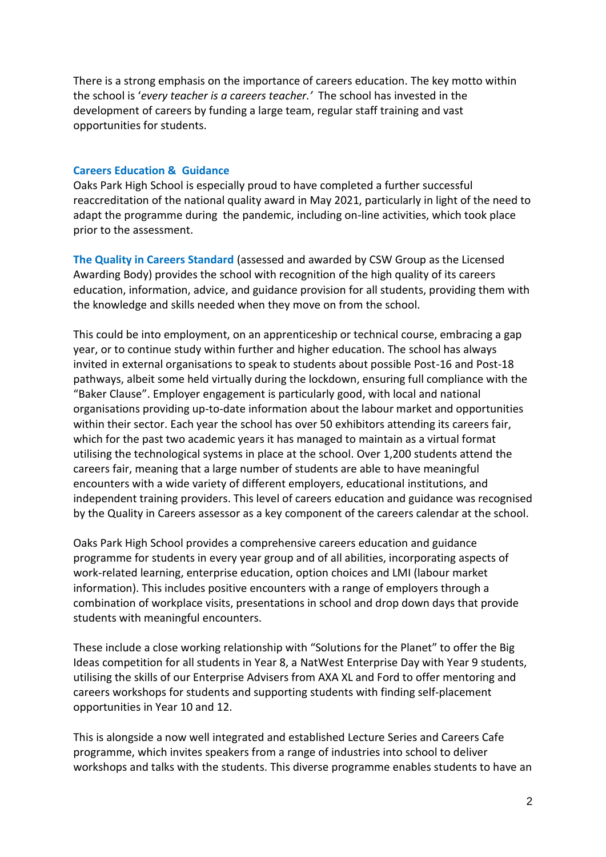There is a strong emphasis on the importance of careers education. The key motto within the school is '*every teacher is a careers teacher.'* The school has invested in the development of careers by funding a large team, regular staff training and vast opportunities for students.

## **Careers Education & Guidance**

Oaks Park High School is especially proud to have completed a further successful reaccreditation of the national quality award in May 2021, particularly in light of the need to adapt the programme during the pandemic, including on-line activities, which took place prior to the assessment.

**The Quality in Careers Standard** (assessed and awarded by CSW Group as the Licensed Awarding Body) provides the school with recognition of the high quality of its careers education, information, advice, and guidance provision for all students, providing them with the knowledge and skills needed when they move on from the school.

This could be into employment, on an apprenticeship or technical course, embracing a gap year, or to continue study within further and higher education. The school has always invited in external organisations to speak to students about possible Post-16 and Post-18 pathways, albeit some held virtually during the lockdown, ensuring full compliance with the "Baker Clause". Employer engagement is particularly good, with local and national organisations providing up-to-date information about the labour market and opportunities within their sector. Each year the school has over 50 exhibitors attending its careers fair, which for the past two academic years it has managed to maintain as a virtual format utilising the technological systems in place at the school. Over 1,200 students attend the careers fair, meaning that a large number of students are able to have meaningful encounters with a wide variety of different employers, educational institutions, and independent training providers. This level of careers education and guidance was recognised by the Quality in Careers assessor as a key component of the careers calendar at the school.

Oaks Park High School provides a comprehensive careers education and guidance programme for students in every year group and of all abilities, incorporating aspects of work-related learning, enterprise education, option choices and LMI (labour market information). This includes positive encounters with a range of employers through a combination of workplace visits, presentations in school and drop down days that provide students with meaningful encounters.

These include a close working relationship with "Solutions for the Planet" to offer the Big Ideas competition for all students in Year 8, a NatWest Enterprise Day with Year 9 students, utilising the skills of our Enterprise Advisers from AXA XL and Ford to offer mentoring and careers workshops for students and supporting students with finding self-placement opportunities in Year 10 and 12.

This is alongside a now well integrated and established Lecture Series and Careers Cafe programme, which invites speakers from a range of industries into school to deliver workshops and talks with the students. This diverse programme enables students to have an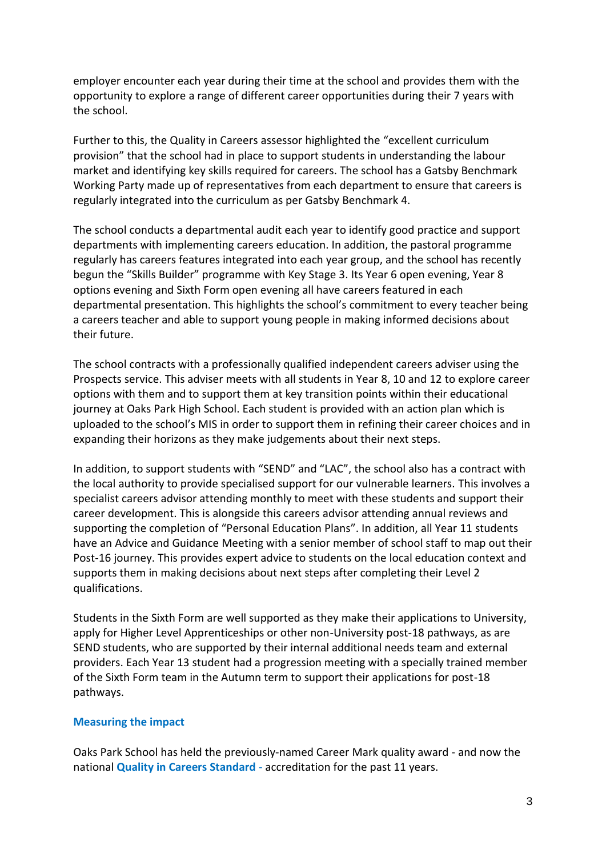employer encounter each year during their time at the school and provides them with the opportunity to explore a range of different career opportunities during their 7 years with the school.

Further to this, the Quality in Careers assessor highlighted the "excellent curriculum provision" that the school had in place to support students in understanding the labour market and identifying key skills required for careers. The school has a Gatsby Benchmark Working Party made up of representatives from each department to ensure that careers is regularly integrated into the curriculum as per Gatsby Benchmark 4.

The school conducts a departmental audit each year to identify good practice and support departments with implementing careers education. In addition, the pastoral programme regularly has careers features integrated into each year group, and the school has recently begun the "Skills Builder" programme with Key Stage 3. Its Year 6 open evening, Year 8 options evening and Sixth Form open evening all have careers featured in each departmental presentation. This highlights the school's commitment to every teacher being a careers teacher and able to support young people in making informed decisions about their future.

The school contracts with a professionally qualified independent careers adviser using the Prospects service. This adviser meets with all students in Year 8, 10 and 12 to explore career options with them and to support them at key transition points within their educational journey at Oaks Park High School. Each student is provided with an action plan which is uploaded to the school's MIS in order to support them in refining their career choices and in expanding their horizons as they make judgements about their next steps.

In addition, to support students with "SEND" and "LAC", the school also has a contract with the local authority to provide specialised support for our vulnerable learners. This involves a specialist careers advisor attending monthly to meet with these students and support their career development. This is alongside this careers advisor attending annual reviews and supporting the completion of "Personal Education Plans". In addition, all Year 11 students have an Advice and Guidance Meeting with a senior member of school staff to map out their Post-16 journey. This provides expert advice to students on the local education context and supports them in making decisions about next steps after completing their Level 2 qualifications.

Students in the Sixth Form are well supported as they make their applications to University, apply for Higher Level Apprenticeships or other non-University post-18 pathways, as are SEND students, who are supported by their internal additional needs team and external providers. Each Year 13 student had a progression meeting with a specially trained member of the Sixth Form team in the Autumn term to support their applications for post-18 pathways.

## **Measuring the impact**

Oaks Park School has held the previously-named Career Mark quality award - and now the national **Quality in Careers Standard** - accreditation for the past 11 years.